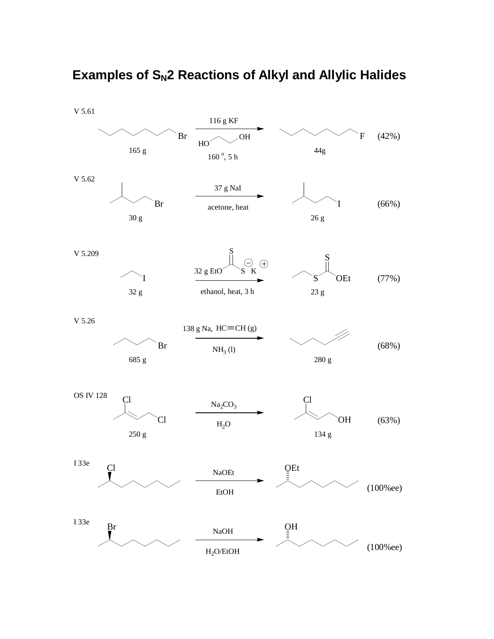

## **Examples of S<sub>N</sub>2 Reactions of Alkyl and Allylic Halides**